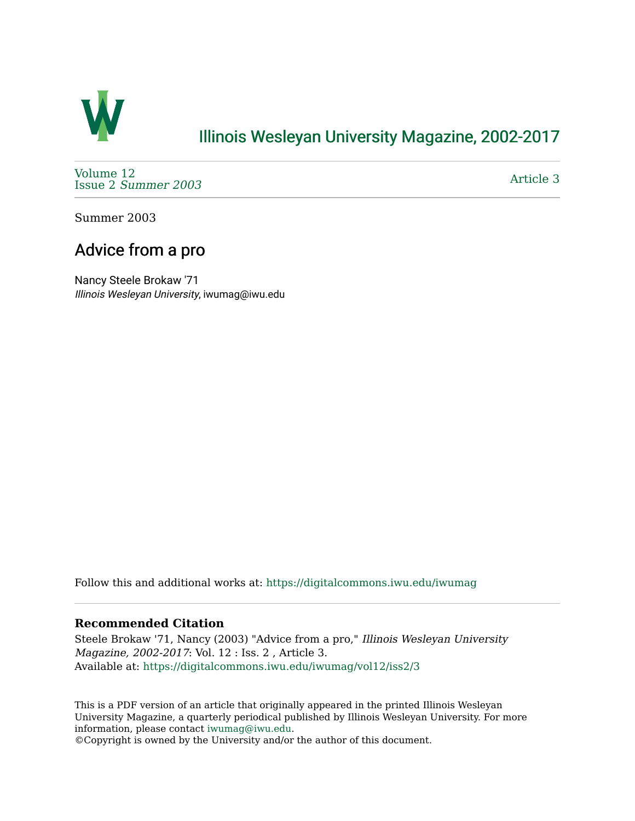

# [Illinois Wesleyan University Magazine, 2002-2017](https://digitalcommons.iwu.edu/iwumag)

[Volume 12](https://digitalcommons.iwu.edu/iwumag/vol12)  Issue 2 [Summer 2003](https://digitalcommons.iwu.edu/iwumag/vol12/iss2) 

[Article 3](https://digitalcommons.iwu.edu/iwumag/vol12/iss2/3) 

Summer 2003

# Advice from a pro

Nancy Steele Brokaw '71 Illinois Wesleyan University, iwumag@iwu.edu

Follow this and additional works at: [https://digitalcommons.iwu.edu/iwumag](https://digitalcommons.iwu.edu/iwumag?utm_source=digitalcommons.iwu.edu%2Fiwumag%2Fvol12%2Fiss2%2F3&utm_medium=PDF&utm_campaign=PDFCoverPages) 

### **Recommended Citation**

Steele Brokaw '71, Nancy (2003) "Advice from a pro," Illinois Wesleyan University Magazine, 2002-2017: Vol. 12 : Iss. 2 , Article 3. Available at: [https://digitalcommons.iwu.edu/iwumag/vol12/iss2/3](https://digitalcommons.iwu.edu/iwumag/vol12/iss2/3?utm_source=digitalcommons.iwu.edu%2Fiwumag%2Fvol12%2Fiss2%2F3&utm_medium=PDF&utm_campaign=PDFCoverPages)

This is a PDF version of an article that originally appeared in the printed Illinois Wesleyan University Magazine, a quarterly periodical published by Illinois Wesleyan University. For more information, please contact [iwumag@iwu.edu](mailto:iwumag@iwu.edu).

©Copyright is owned by the University and/or the author of this document.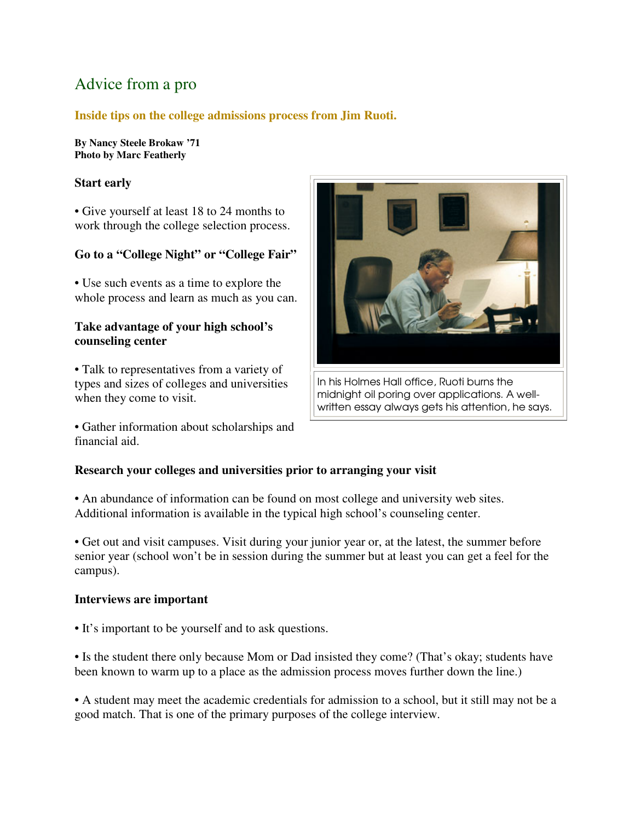# Advice from a pro

## **Inside tips on the college admissions process from Jim Ruoti.**

**By Nancy Steele Brokaw '71 Photo by Marc Featherly**

### **Start early**

• Give yourself at least 18 to 24 months to work through the college selection process.

## **Go to a "College Night" or "College Fair"**

• Use such events as a time to explore the whole process and learn as much as you can.

#### **Take advantage of your high school's counseling center**

• Talk to representatives from a variety of types and sizes of colleges and universities when they come to visit.

• Gather information about scholarships and financial aid.



In his Holmes Hall office, Ruoti burns the midnight oil poring over applications. A wellwritten essay always gets his attention, he says.

## **Research your colleges and universities prior to arranging your visit**

• An abundance of information can be found on most college and university web sites. Additional information is available in the typical high school's counseling center.

• Get out and visit campuses. Visit during your junior year or, at the latest, the summer before senior year (school won't be in session during the summer but at least you can get a feel for the campus).

#### **Interviews are important**

• It's important to be yourself and to ask questions.

• Is the student there only because Mom or Dad insisted they come? (That's okay; students have been known to warm up to a place as the admission process moves further down the line.)

• A student may meet the academic credentials for admission to a school, but it still may not be a good match. That is one of the primary purposes of the college interview.